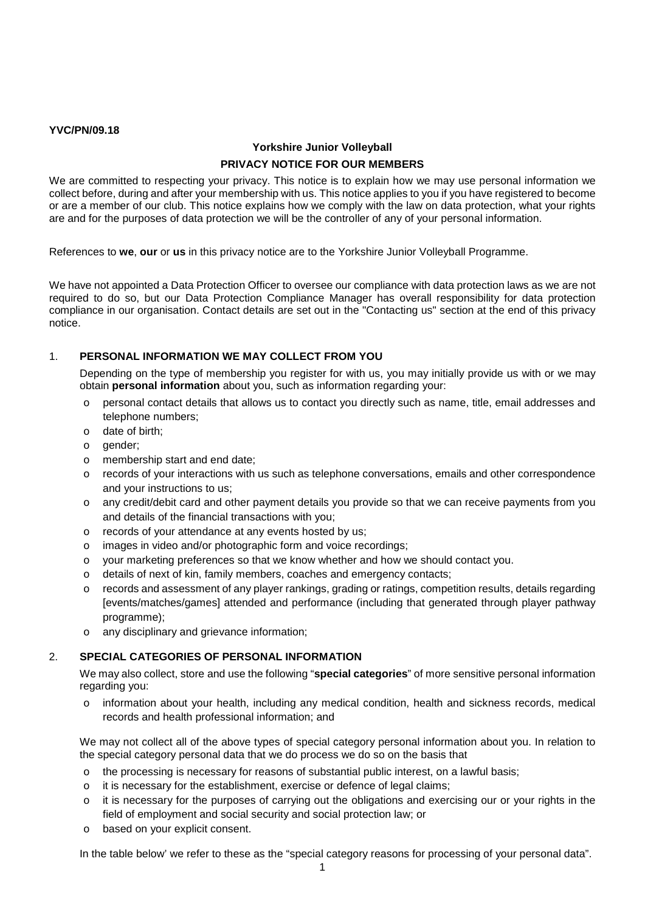## **YVC/PN/09.18**

# **Yorkshire Junior Volleyball PRIVACY NOTICE FOR OUR MEMBERS**

We are committed to respecting your privacy. This notice is to explain how we may use personal information we collect before, during and after your membership with us. This notice applies to you if you have registered to become or are a member of our club. This notice explains how we comply with the law on data protection, what your rights are and for the purposes of data protection we will be the controller of any of your personal information.

References to **we**, **our** or **us** in this privacy notice are to the Yorkshire Junior Volleyball Programme.

We have not appointed a Data Protection Officer to oversee our compliance with data protection laws as we are not required to do so, but our Data Protection Compliance Manager has overall responsibility for data protection compliance in our organisation. Contact details are set out in the "Contacting us" section at the end of this privacy notice.

## 1. **PERSONAL INFORMATION WE MAY COLLECT FROM YOU**

Depending on the type of membership you register for with us, you may initially provide us with or we may obtain **personal information** about you, such as information regarding your:

- o personal contact details that allows us to contact you directly such as name, title, email addresses and telephone numbers;
- o date of birth;
- o gender;
- o membership start and end date;
- o records of your interactions with us such as telephone conversations, emails and other correspondence and your instructions to us;
- o any credit/debit card and other payment details you provide so that we can receive payments from you and details of the financial transactions with you;
- o records of your attendance at any events hosted by us;
- o images in video and/or photographic form and voice recordings;
- o your marketing preferences so that we know whether and how we should contact you.
- o details of next of kin, family members, coaches and emergency contacts;
- o records and assessment of any player rankings, grading or ratings, competition results, details regarding [events/matches/games] attended and performance (including that generated through player pathway programme);
- o any disciplinary and grievance information;

## 2. **SPECIAL CATEGORIES OF PERSONAL INFORMATION**

We may also collect, store and use the following "**special categories**" of more sensitive personal information regarding you:

o information about your health, including any medical condition, health and sickness records, medical records and health professional information; and

We may not collect all of the above types of special category personal information about you. In relation to the special category personal data that we do process we do so on the basis that

- o the processing is necessary for reasons of substantial public interest, on a lawful basis;
- o it is necessary for the establishment, exercise or defence of legal claims;
- $\circ$  it is necessary for the purposes of carrying out the obligations and exercising our or your rights in the field of employment and social security and social protection law; or
- o based on your explicit consent.

In the table below' we refer to these as the "special category reasons for processing of your personal data".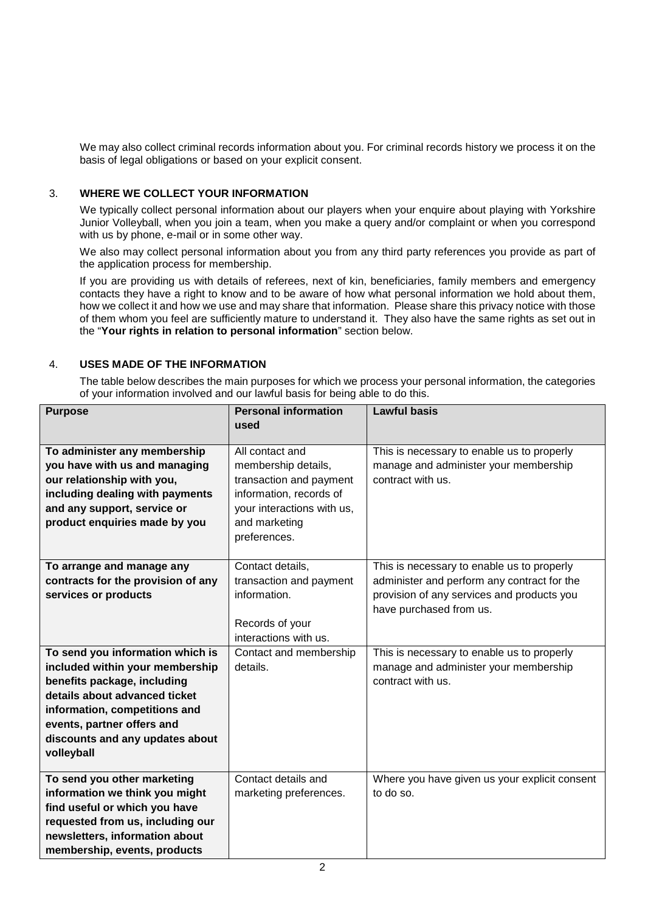We may also collect criminal records information about you. For criminal records history we process it on the basis of legal obligations or based on your explicit consent.

## 3. **WHERE WE COLLECT YOUR INFORMATION**

We typically collect personal information about our players when your enquire about playing with Yorkshire Junior Volleyball, when you join a team, when you make a query and/or complaint or when you correspond with us by phone, e-mail or in some other way.

We also may collect personal information about you from any third party references you provide as part of the application process for membership.

If you are providing us with details of referees, next of kin, beneficiaries, family members and emergency contacts they have a right to know and to be aware of how what personal information we hold about them, how we collect it and how we use and may share that information. Please share this privacy notice with those of them whom you feel are sufficiently mature to understand it. They also have the same rights as set out in the "**Your rights in relation to personal information**" section below.

## 4. **USES MADE OF THE INFORMATION**

The table below describes the main purposes for which we process your personal information, the categories of your information involved and our lawful basis for being able to do this.

| <b>Purpose</b>                                                                                                                                                                                                                                      | <b>Personal information</b>                                                                                                                 | <b>Lawful basis</b>                                                                                                                                                |
|-----------------------------------------------------------------------------------------------------------------------------------------------------------------------------------------------------------------------------------------------------|---------------------------------------------------------------------------------------------------------------------------------------------|--------------------------------------------------------------------------------------------------------------------------------------------------------------------|
|                                                                                                                                                                                                                                                     | used                                                                                                                                        |                                                                                                                                                                    |
| To administer any membership<br>you have with us and managing<br>our relationship with you,<br>including dealing with payments<br>and any support, service or<br>product enquiries made by you                                                      | All contact and<br>membership details,<br>transaction and payment<br>information, records of<br>your interactions with us,<br>and marketing | This is necessary to enable us to properly<br>manage and administer your membership<br>contract with us.                                                           |
|                                                                                                                                                                                                                                                     | preferences.                                                                                                                                |                                                                                                                                                                    |
|                                                                                                                                                                                                                                                     |                                                                                                                                             |                                                                                                                                                                    |
| To arrange and manage any<br>contracts for the provision of any<br>services or products                                                                                                                                                             | Contact details,<br>transaction and payment<br>information.                                                                                 | This is necessary to enable us to properly<br>administer and perform any contract for the<br>provision of any services and products you<br>have purchased from us. |
|                                                                                                                                                                                                                                                     | Records of your<br>interactions with us.                                                                                                    |                                                                                                                                                                    |
| To send you information which is<br>included within your membership<br>benefits package, including<br>details about advanced ticket<br>information, competitions and<br>events, partner offers and<br>discounts and any updates about<br>volleyball | Contact and membership<br>details.                                                                                                          | This is necessary to enable us to properly<br>manage and administer your membership<br>contract with us.                                                           |
| To send you other marketing<br>information we think you might<br>find useful or which you have<br>requested from us, including our<br>newsletters, information about<br>membership, events, products                                                | Contact details and<br>marketing preferences.                                                                                               | Where you have given us your explicit consent<br>to do so.                                                                                                         |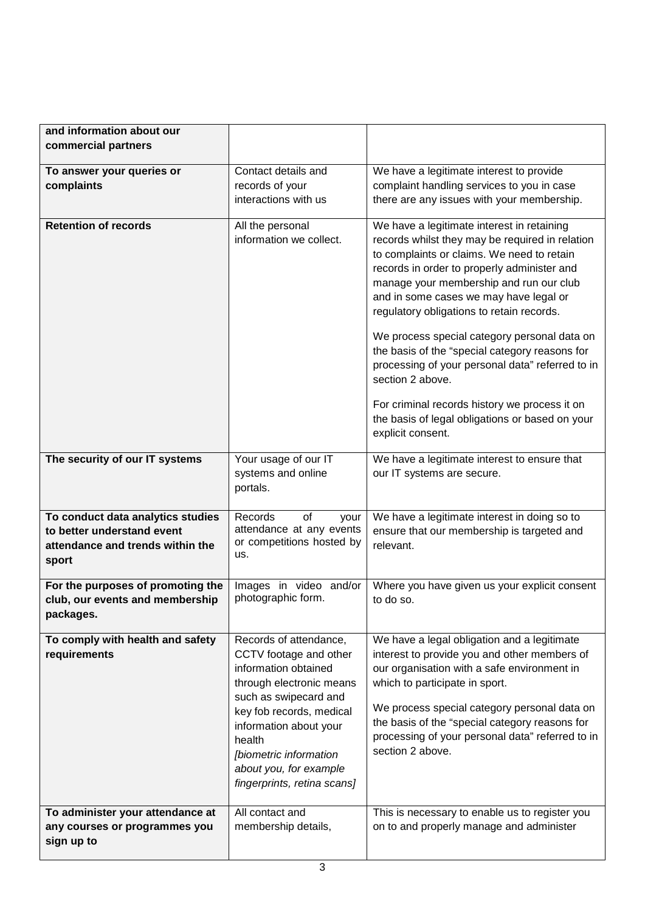| and information about our<br>commercial partners                                                             |                                                                                                                                                                                                                                                                                  |                                                                                                                                                                                                                                                                                                                                                                                                                                                                                                                                                                                                                                 |
|--------------------------------------------------------------------------------------------------------------|----------------------------------------------------------------------------------------------------------------------------------------------------------------------------------------------------------------------------------------------------------------------------------|---------------------------------------------------------------------------------------------------------------------------------------------------------------------------------------------------------------------------------------------------------------------------------------------------------------------------------------------------------------------------------------------------------------------------------------------------------------------------------------------------------------------------------------------------------------------------------------------------------------------------------|
| To answer your queries or<br>complaints                                                                      | Contact details and<br>records of your<br>interactions with us                                                                                                                                                                                                                   | We have a legitimate interest to provide<br>complaint handling services to you in case<br>there are any issues with your membership.                                                                                                                                                                                                                                                                                                                                                                                                                                                                                            |
| <b>Retention of records</b>                                                                                  | All the personal<br>information we collect.                                                                                                                                                                                                                                      | We have a legitimate interest in retaining<br>records whilst they may be required in relation<br>to complaints or claims. We need to retain<br>records in order to properly administer and<br>manage your membership and run our club<br>and in some cases we may have legal or<br>regulatory obligations to retain records.<br>We process special category personal data on<br>the basis of the "special category reasons for<br>processing of your personal data" referred to in<br>section 2 above.<br>For criminal records history we process it on<br>the basis of legal obligations or based on your<br>explicit consent. |
| The security of our IT systems                                                                               | Your usage of our IT<br>systems and online<br>portals.                                                                                                                                                                                                                           | We have a legitimate interest to ensure that<br>our IT systems are secure.                                                                                                                                                                                                                                                                                                                                                                                                                                                                                                                                                      |
| To conduct data analytics studies<br>to better understand event<br>attendance and trends within the<br>sport | of<br>Records<br>your<br>attendance at any events<br>or competitions hosted by<br>us.                                                                                                                                                                                            | We have a legitimate interest in doing so to<br>ensure that our membership is targeted and<br>relevant.                                                                                                                                                                                                                                                                                                                                                                                                                                                                                                                         |
| For the purposes of promoting the<br>club, our events and membership<br>packages.                            | Images in video and/or<br>photographic form.                                                                                                                                                                                                                                     | Where you have given us your explicit consent<br>to do so.                                                                                                                                                                                                                                                                                                                                                                                                                                                                                                                                                                      |
| To comply with health and safety<br>requirements                                                             | Records of attendance,<br>CCTV footage and other<br>information obtained<br>through electronic means<br>such as swipecard and<br>key fob records, medical<br>information about your<br>health<br>[biometric information<br>about you, for example<br>fingerprints, retina scans] | We have a legal obligation and a legitimate<br>interest to provide you and other members of<br>our organisation with a safe environment in<br>which to participate in sport.<br>We process special category personal data on<br>the basis of the "special category reasons for<br>processing of your personal data" referred to in<br>section 2 above.                                                                                                                                                                                                                                                                          |
| To administer your attendance at<br>any courses or programmes you<br>sign up to                              | All contact and<br>membership details,                                                                                                                                                                                                                                           | This is necessary to enable us to register you<br>on to and properly manage and administer                                                                                                                                                                                                                                                                                                                                                                                                                                                                                                                                      |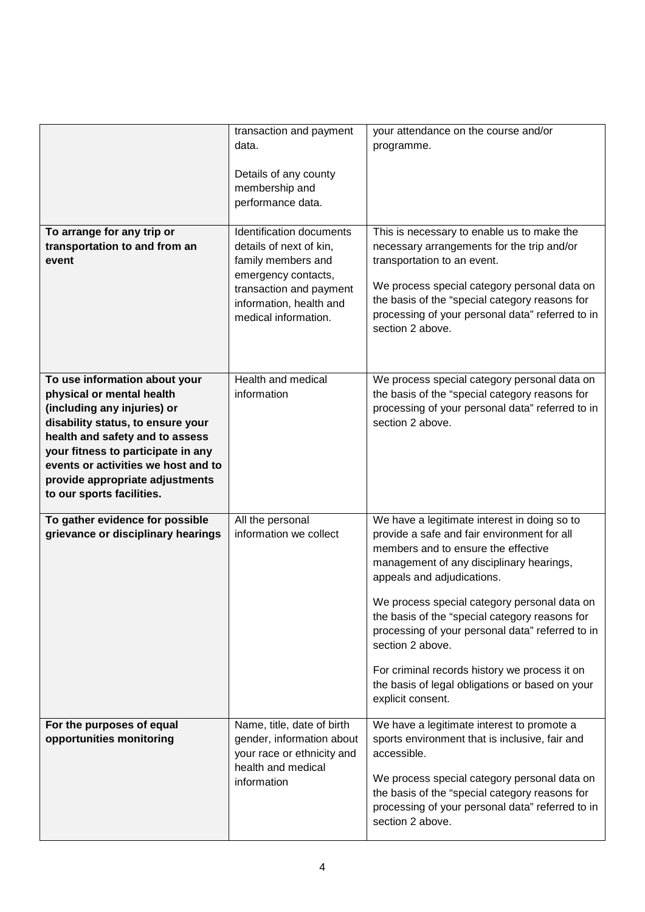|                                                                                                                                                                                                                                                                                                                | transaction and payment<br>data.<br>Details of any county<br>membership and<br>performance data.                                                                               | your attendance on the course and/or<br>programme.                                                                                                                                                                                                                                                                                                                                                                                                                                                              |
|----------------------------------------------------------------------------------------------------------------------------------------------------------------------------------------------------------------------------------------------------------------------------------------------------------------|--------------------------------------------------------------------------------------------------------------------------------------------------------------------------------|-----------------------------------------------------------------------------------------------------------------------------------------------------------------------------------------------------------------------------------------------------------------------------------------------------------------------------------------------------------------------------------------------------------------------------------------------------------------------------------------------------------------|
| To arrange for any trip or<br>transportation to and from an<br>event                                                                                                                                                                                                                                           | Identification documents<br>details of next of kin,<br>family members and<br>emergency contacts,<br>transaction and payment<br>information, health and<br>medical information. | This is necessary to enable us to make the<br>necessary arrangements for the trip and/or<br>transportation to an event.<br>We process special category personal data on<br>the basis of the "special category reasons for<br>processing of your personal data" referred to in<br>section 2 above.                                                                                                                                                                                                               |
| To use information about your<br>physical or mental health<br>(including any injuries) or<br>disability status, to ensure your<br>health and safety and to assess<br>your fitness to participate in any<br>events or activities we host and to<br>provide appropriate adjustments<br>to our sports facilities. | Health and medical<br>information                                                                                                                                              | We process special category personal data on<br>the basis of the "special category reasons for<br>processing of your personal data" referred to in<br>section 2 above.                                                                                                                                                                                                                                                                                                                                          |
| To gather evidence for possible<br>grievance or disciplinary hearings                                                                                                                                                                                                                                          | All the personal<br>information we collect                                                                                                                                     | We have a legitimate interest in doing so to<br>provide a safe and fair environment for all<br>members and to ensure the effective<br>management of any disciplinary hearings,<br>appeals and adjudications.<br>We process special category personal data on<br>the basis of the "special category reasons for<br>processing of your personal data" referred to in<br>section 2 above.<br>For criminal records history we process it on<br>the basis of legal obligations or based on your<br>explicit consent. |
| For the purposes of equal<br>opportunities monitoring                                                                                                                                                                                                                                                          | Name, title, date of birth<br>gender, information about<br>your race or ethnicity and<br>health and medical<br>information                                                     | We have a legitimate interest to promote a<br>sports environment that is inclusive, fair and<br>accessible.<br>We process special category personal data on<br>the basis of the "special category reasons for<br>processing of your personal data" referred to in<br>section 2 above.                                                                                                                                                                                                                           |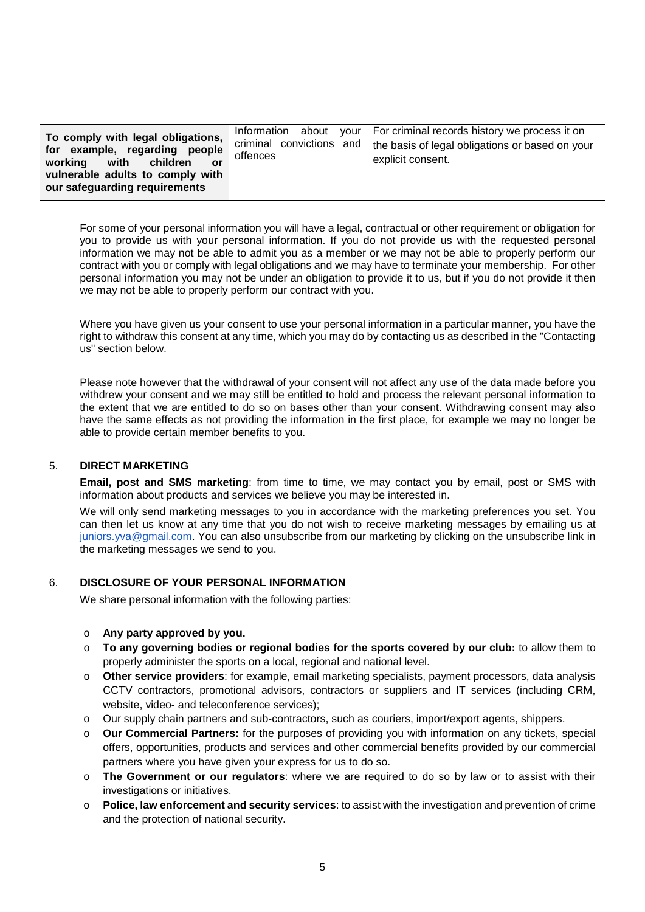| To comply with legal obligations,<br>for example, regarding people<br>with children<br>working<br>or<br>vulnerable adults to comply with<br>our safeguarding requirements | offences | Information about your   For criminal records history we process it on<br>criminal convictions and   the basis of legal obligations or based on your<br>explicit consent. |
|---------------------------------------------------------------------------------------------------------------------------------------------------------------------------|----------|---------------------------------------------------------------------------------------------------------------------------------------------------------------------------|
|---------------------------------------------------------------------------------------------------------------------------------------------------------------------------|----------|---------------------------------------------------------------------------------------------------------------------------------------------------------------------------|

For some of your personal information you will have a legal, contractual or other requirement or obligation for you to provide us with your personal information. If you do not provide us with the requested personal information we may not be able to admit you as a member or we may not be able to properly perform our contract with you or comply with legal obligations and we may have to terminate your membership. For other personal information you may not be under an obligation to provide it to us, but if you do not provide it then we may not be able to properly perform our contract with you.

Where you have given us your consent to use your personal information in a particular manner, you have the right to withdraw this consent at any time, which you may do by contacting us as described in the "Contacting us" section below.

Please note however that the withdrawal of your consent will not affect any use of the data made before you withdrew your consent and we may still be entitled to hold and process the relevant personal information to the extent that we are entitled to do so on bases other than your consent. Withdrawing consent may also have the same effects as not providing the information in the first place, for example we may no longer be able to provide certain member benefits to you.

## 5. **DIRECT MARKETING**

**Email, post and SMS marketing**: from time to time, we may contact you by email, post or SMS with information about products and services we believe you may be interested in.

We will only send marketing messages to you in accordance with the marketing preferences you set. You can then let us know at any time that you do not wish to receive marketing messages by emailing us at [juniors.yva@gmail.com.](mailto:juniors.yva@gmail.com) You can also unsubscribe from our marketing by clicking on the unsubscribe link in the marketing messages we send to you.

## 6. **DISCLOSURE OF YOUR PERSONAL INFORMATION**

We share personal information with the following parties:

#### o **Any party approved by you.**

- o **To any governing bodies or regional bodies for the sports covered by our club:** to allow them to properly administer the sports on a local, regional and national level.
- o **Other service providers**: for example, email marketing specialists, payment processors, data analysis CCTV contractors, promotional advisors, contractors or suppliers and IT services (including CRM, website, video- and teleconference services);
- o Our supply chain partners and sub-contractors, such as couriers, import/export agents, shippers.
- o **Our Commercial Partners:** for the purposes of providing you with information on any tickets, special offers, opportunities, products and services and other commercial benefits provided by our commercial partners where you have given your express for us to do so.
- o **The Government or our regulators**: where we are required to do so by law or to assist with their investigations or initiatives.
- **Police, law enforcement and security services**: to assist with the investigation and prevention of crime and the protection of national security.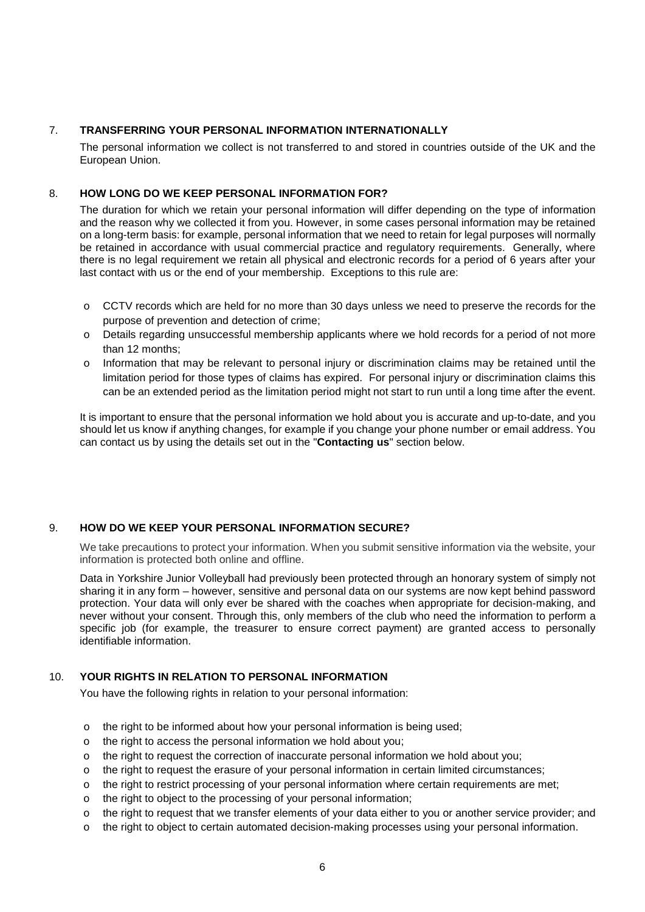## 7. **TRANSFERRING YOUR PERSONAL INFORMATION INTERNATIONALLY**

The personal information we collect is not transferred to and stored in countries outside of the UK and the European Union.

## 8. **HOW LONG DO WE KEEP PERSONAL INFORMATION FOR?**

The duration for which we retain your personal information will differ depending on the type of information and the reason why we collected it from you. However, in some cases personal information may be retained on a long-term basis: for example, personal information that we need to retain for legal purposes will normally be retained in accordance with usual commercial practice and regulatory requirements. Generally, where there is no legal requirement we retain all physical and electronic records for a period of 6 years after your last contact with us or the end of your membership. Exceptions to this rule are:

- o CCTV records which are held for no more than 30 days unless we need to preserve the records for the purpose of prevention and detection of crime;
- o Details regarding unsuccessful membership applicants where we hold records for a period of not more than 12 months;
- $\circ$  Information that may be relevant to personal injury or discrimination claims may be retained until the limitation period for those types of claims has expired. For personal injury or discrimination claims this can be an extended period as the limitation period might not start to run until a long time after the event.

It is important to ensure that the personal information we hold about you is accurate and up-to-date, and you should let us know if anything changes, for example if you change your phone number or email address. You can contact us by using the details set out in the "**Contacting us**" section below.

## 9. **HOW DO WE KEEP YOUR PERSONAL INFORMATION SECURE?**

We take precautions to protect your information. When you submit sensitive information via the website, your information is protected both online and offline.

Data in Yorkshire Junior Volleyball had previously been protected through an honorary system of simply not sharing it in any form – however, sensitive and personal data on our systems are now kept behind password protection. Your data will only ever be shared with the coaches when appropriate for decision-making, and never without your consent. Through this, only members of the club who need the information to perform a specific job (for example, the treasurer to ensure correct payment) are granted access to personally identifiable information.

## 10. **YOUR RIGHTS IN RELATION TO PERSONAL INFORMATION**

You have the following rights in relation to your personal information:

- o the right to be informed about how your personal information is being used;
- o the right to access the personal information we hold about you;
- $\circ$  the right to request the correction of inaccurate personal information we hold about you;
- o the right to request the erasure of your personal information in certain limited circumstances;
- o the right to restrict processing of your personal information where certain requirements are met;
- o the right to object to the processing of your personal information;
- o the right to request that we transfer elements of your data either to you or another service provider; and
- o the right to object to certain automated decision-making processes using your personal information.